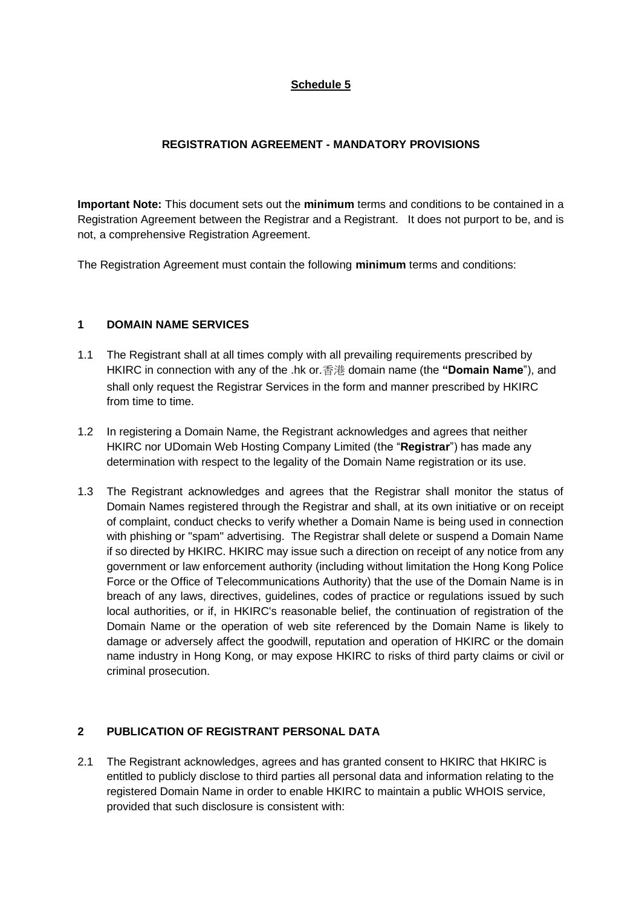# **Schedule 5**

## **REGISTRATION AGREEMENT - MANDATORY PROVISIONS**

**Important Note:** This document sets out the **minimum** terms and conditions to be contained in a Registration Agreement between the Registrar and a Registrant. It does not purport to be, and is not, a comprehensive Registration Agreement.

The Registration Agreement must contain the following **minimum** terms and conditions:

## **1 DOMAIN NAME SERVICES**

- 1.1 The Registrant shall at all times comply with all prevailing requirements prescribed by HKIRC in connection with any of the .hk or.香港 domain name (the **"Domain Name**"), and shall only request the Registrar Services in the form and manner prescribed by HKIRC from time to time.
- 1.2 In registering a Domain Name, the Registrant acknowledges and agrees that neither HKIRC nor UDomain Web Hosting Company Limited (the "**Registrar**") has made any determination with respect to the legality of the Domain Name registration or its use.
- 1.3 The Registrant acknowledges and agrees that the Registrar shall monitor the status of Domain Names registered through the Registrar and shall, at its own initiative or on receipt of complaint, conduct checks to verify whether a Domain Name is being used in connection with phishing or "spam" advertising. The Registrar shall delete or suspend a Domain Name if so directed by HKIRC. HKIRC may issue such a direction on receipt of any notice from any government or law enforcement authority (including without limitation the Hong Kong Police Force or the Office of Telecommunications Authority) that the use of the Domain Name is in breach of any laws, directives, guidelines, codes of practice or regulations issued by such local authorities, or if, in HKIRC's reasonable belief, the continuation of registration of the Domain Name or the operation of web site referenced by the Domain Name is likely to damage or adversely affect the goodwill, reputation and operation of HKIRC or the domain name industry in Hong Kong, or may expose HKIRC to risks of third party claims or civil or criminal prosecution.

# **2 PUBLICATION OF REGISTRANT PERSONAL DATA**

2.1 The Registrant acknowledges, agrees and has granted consent to HKIRC that HKIRC is entitled to publicly disclose to third parties all personal data and information relating to the registered Domain Name in order to enable HKIRC to maintain a public WHOIS service, provided that such disclosure is consistent with: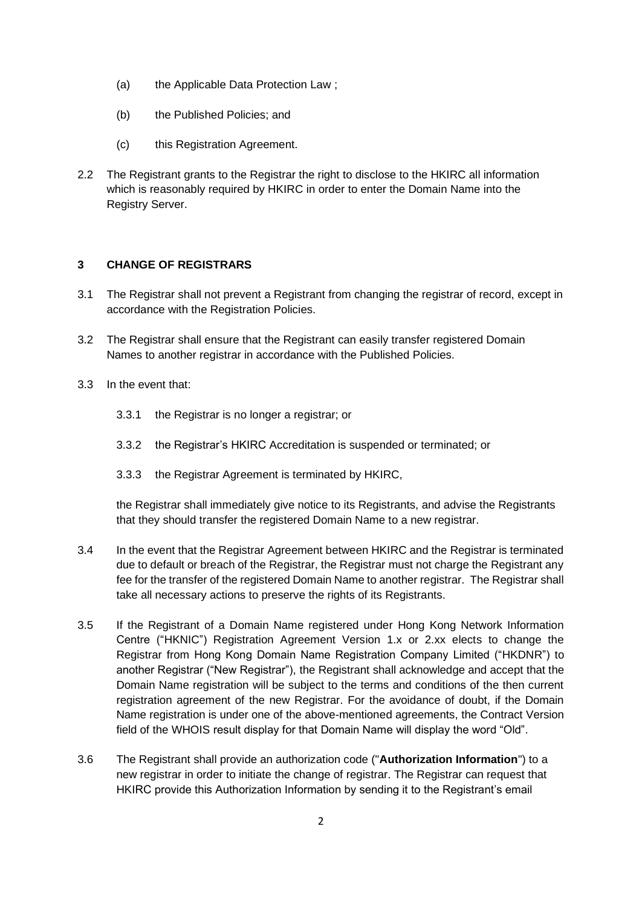- (a) the Applicable Data Protection Law ;
- (b) the Published Policies; and
- (c) this Registration Agreement.
- 2.2 The Registrant grants to the Registrar the right to disclose to the HKIRC all information which is reasonably required by HKIRC in order to enter the Domain Name into the Registry Server.

### **3 CHANGE OF REGISTRARS**

- 3.1 The Registrar shall not prevent a Registrant from changing the registrar of record, except in accordance with the Registration Policies.
- 3.2 The Registrar shall ensure that the Registrant can easily transfer registered Domain Names to another registrar in accordance with the Published Policies.
- 3.3 In the event that:
	- 3.3.1 the Registrar is no longer a registrar; or
	- 3.3.2 the Registrar's HKIRC Accreditation is suspended or terminated; or
	- 3.3.3 the Registrar Agreement is terminated by HKIRC,

the Registrar shall immediately give notice to its Registrants, and advise the Registrants that they should transfer the registered Domain Name to a new registrar.

- 3.4 In the event that the Registrar Agreement between HKIRC and the Registrar is terminated due to default or breach of the Registrar, the Registrar must not charge the Registrant any fee for the transfer of the registered Domain Name to another registrar. The Registrar shall take all necessary actions to preserve the rights of its Registrants.
- 3.5 If the Registrant of a Domain Name registered under Hong Kong Network Information Centre ("HKNIC") Registration Agreement Version 1.x or 2.xx elects to change the Registrar from Hong Kong Domain Name Registration Company Limited ("HKDNR") to another Registrar ("New Registrar"), the Registrant shall acknowledge and accept that the Domain Name registration will be subject to the terms and conditions of the then current registration agreement of the new Registrar. For the avoidance of doubt, if the Domain Name registration is under one of the above-mentioned agreements, the Contract Version field of the WHOIS result display for that Domain Name will display the word "Old".
- 3.6 The Registrant shall provide an authorization code ("**Authorization Information**") to a new registrar in order to initiate the change of registrar. The Registrar can request that HKIRC provide this Authorization Information by sending it to the Registrant's email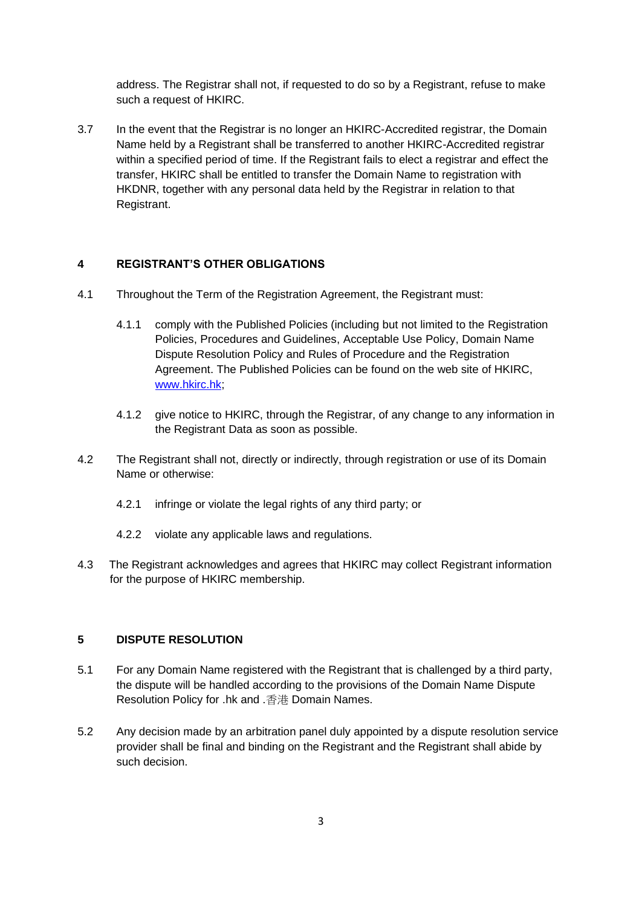address. The Registrar shall not, if requested to do so by a Registrant, refuse to make such a request of HKIRC.

3.7 In the event that the Registrar is no longer an HKIRC-Accredited registrar, the Domain Name held by a Registrant shall be transferred to another HKIRC-Accredited registrar within a specified period of time. If the Registrant fails to elect a registrar and effect the transfer, HKIRC shall be entitled to transfer the Domain Name to registration with HKDNR, together with any personal data held by the Registrar in relation to that Registrant.

#### **4 REGISTRANT'S OTHER OBLIGATIONS**

- 4.1 Throughout the Term of the Registration Agreement, the Registrant must:
	- 4.1.1 comply with the Published Policies (including but not limited to the Registration Policies, Procedures and Guidelines, Acceptable Use Policy, Domain Name Dispute Resolution Policy and Rules of Procedure and the Registration Agreement. The Published Policies can be found on the web site of HKIRC, www.hkirc.hk;
	- 4.1.2 give notice to HKIRC, through the Registrar, of any change to any information in the Registrant Data as soon as possible.
- 4.2 The Registrant shall not, directly or indirectly, through registration or use of its Domain Name or otherwise:
	- 4.2.1 infringe or violate the legal rights of any third party; or
	- 4.2.2 violate any applicable laws and regulations.
- 4.3 The Registrant acknowledges and agrees that HKIRC may collect Registrant information for the purpose of HKIRC membership.

#### **5 DISPUTE RESOLUTION**

- 5.1 For any Domain Name registered with the Registrant that is challenged by a third party, the dispute will be handled according to the provisions of the Domain Name Dispute Resolution Policy for .hk and .香港 Domain Names.
- 5.2 Any decision made by an arbitration panel duly appointed by a dispute resolution service provider shall be final and binding on the Registrant and the Registrant shall abide by such decision.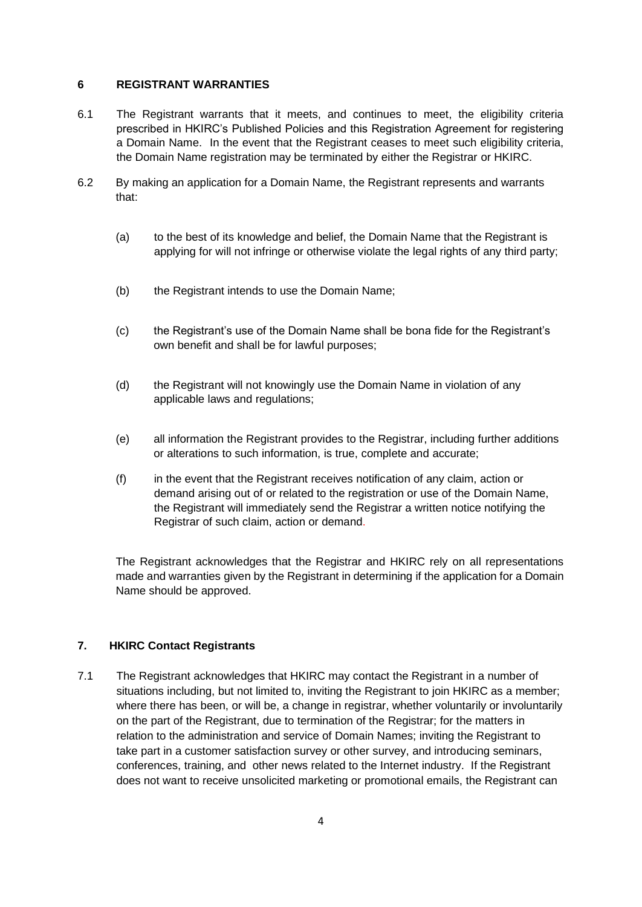#### **6 REGISTRANT WARRANTIES**

- 6.1 The Registrant warrants that it meets, and continues to meet, the eligibility criteria prescribed in HKIRC's Published Policies and this Registration Agreement for registering a Domain Name. In the event that the Registrant ceases to meet such eligibility criteria, the Domain Name registration may be terminated by either the Registrar or HKIRC.
- 6.2 By making an application for a Domain Name, the Registrant represents and warrants that:
	- (a) to the best of its knowledge and belief, the Domain Name that the Registrant is applying for will not infringe or otherwise violate the legal rights of any third party;
	- (b) the Registrant intends to use the Domain Name;
	- (c) the Registrant's use of the Domain Name shall be bona fide for the Registrant's own benefit and shall be for lawful purposes;
	- (d) the Registrant will not knowingly use the Domain Name in violation of any applicable laws and regulations;
	- (e) all information the Registrant provides to the Registrar, including further additions or alterations to such information, is true, complete and accurate;
	- (f) in the event that the Registrant receives notification of any claim, action or demand arising out of or related to the registration or use of the Domain Name, the Registrant will immediately send the Registrar a written notice notifying the Registrar of such claim, action or demand.

The Registrant acknowledges that the Registrar and HKIRC rely on all representations made and warranties given by the Registrant in determining if the application for a Domain Name should be approved.

## **7. HKIRC Contact Registrants**

7.1 The Registrant acknowledges that HKIRC may contact the Registrant in a number of situations including, but not limited to, inviting the Registrant to join HKIRC as a member; where there has been, or will be, a change in registrar, whether voluntarily or involuntarily on the part of the Registrant, due to termination of the Registrar; for the matters in relation to the administration and service of Domain Names; inviting the Registrant to take part in a customer satisfaction survey or other survey, and introducing seminars, conferences, training, and other news related to the Internet industry. If the Registrant does not want to receive unsolicited marketing or promotional emails, the Registrant can